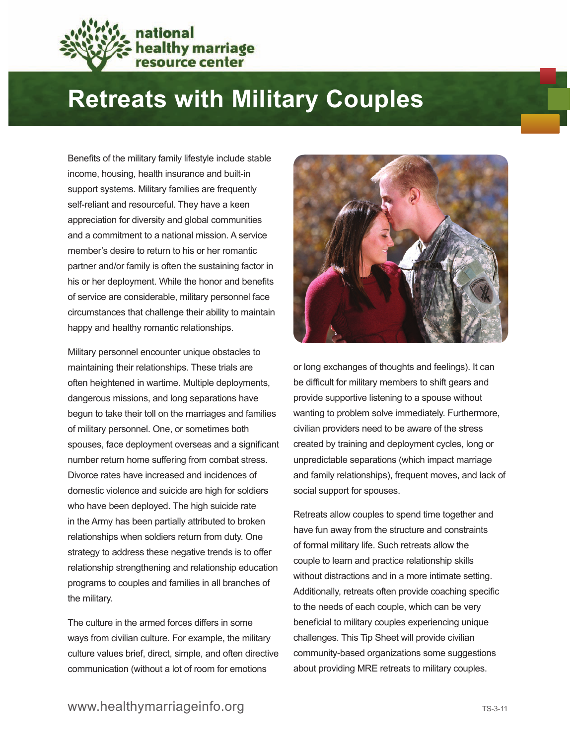

## **Retreats with Military Couples**

Benefits of the military family lifestyle include stable income, housing, health insurance and built-in support systems. Military families are frequently self-reliant and resourceful. They have a keen appreciation for diversity and global communities and a commitment to a national mission. A service member's desire to return to his or her romantic partner and/or family is often the sustaining factor in his or her deployment. While the honor and benefits of service are considerable, military personnel face circumstances that challenge their ability to maintain happy and healthy romantic relationships.

Military personnel encounter unique obstacles to maintaining their relationships. These trials are often heightened in wartime. Multiple deployments, dangerous missions, and long separations have begun to take their toll on the marriages and families of military personnel. One, or sometimes both spouses, face deployment overseas and a significant number return home suffering from combat stress. Divorce rates have increased and incidences of domestic violence and suicide are high for soldiers who have been deployed. The high suicide rate in the Army has been partially attributed to broken relationships when soldiers return from duty. One strategy to address these negative trends is to offer relationship strengthening and relationship education programs to couples and families in all branches of the military.

The culture in the armed forces differs in some ways from civilian culture. For example, the military culture values brief, direct, simple, and often directive communication (without a lot of room for emotions



or long exchanges of thoughts and feelings). It can be difficult for military members to shift gears and provide supportive listening to a spouse without wanting to problem solve immediately. Furthermore, civilian providers need to be aware of the stress created by training and deployment cycles, long or unpredictable separations (which impact marriage and family relationships), frequent moves, and lack of social support for spouses.

Retreats allow couples to spend time together and have fun away from the structure and constraints of formal military life. Such retreats allow the couple to learn and practice relationship skills without distractions and in a more intimate setting. Additionally, retreats often provide coaching specific to the needs of each couple, which can be very beneficial to military couples experiencing unique challenges. This Tip Sheet will provide civilian community-based organizations some suggestions about providing MRE retreats to military couples.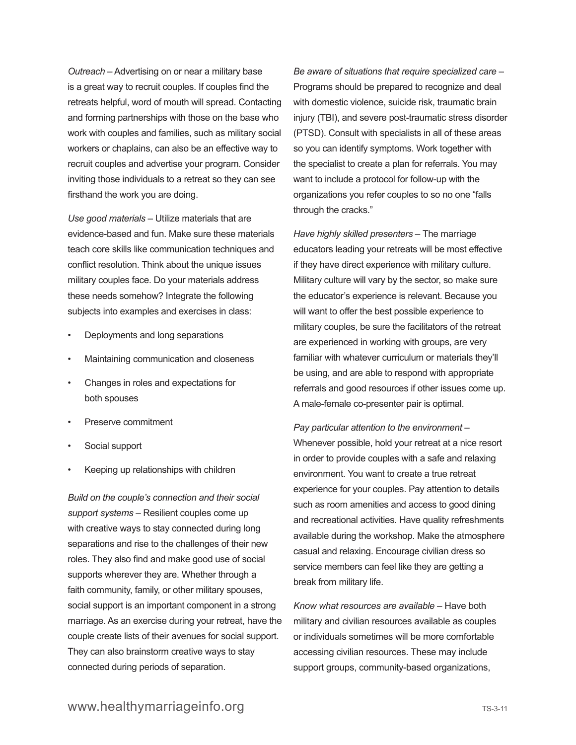*Outreach* – Advertising on or near a military base is a great way to recruit couples. If couples find the retreats helpful, word of mouth will spread. Contacting and forming partnerships with those on the base who work with couples and families, such as military social workers or chaplains, can also be an effective way to recruit couples and advertise your program. Consider inviting those individuals to a retreat so they can see firsthand the work you are doing.

*Use good materials* – Utilize materials that are evidence-based and fun. Make sure these materials teach core skills like communication techniques and conflict resolution. Think about the unique issues military couples face. Do your materials address these needs somehow? Integrate the following subjects into examples and exercises in class:

- Deployments and long separations
- Maintaining communication and closeness
- Changes in roles and expectations for both spouses
- Preserve commitment
- Social support
- Keeping up relationships with children

*Build on the couple's connection and their social support systems* – Resilient couples come up with creative ways to stay connected during long separations and rise to the challenges of their new roles. They also find and make good use of social supports wherever they are. Whether through a faith community, family, or other military spouses, social support is an important component in a strong marriage. As an exercise during your retreat, have the couple create lists of their avenues for social support. They can also brainstorm creative ways to stay connected during periods of separation.

*Be aware of situations that require specialized care* – Programs should be prepared to recognize and deal with domestic violence, suicide risk, traumatic brain injury (TBI), and severe post-traumatic stress disorder (PTSD). Consult with specialists in all of these areas so you can identify symptoms. Work together with the specialist to create a plan for referrals. You may want to include a protocol for follow-up with the organizations you refer couples to so no one "falls through the cracks."

*Have highly skilled presenters –* The marriage educators leading your retreats will be most effective if they have direct experience with military culture. Military culture will vary by the sector, so make sure the educator's experience is relevant. Because you will want to offer the best possible experience to military couples, be sure the facilitators of the retreat are experienced in working with groups, are very familiar with whatever curriculum or materials they'll be using, and are able to respond with appropriate referrals and good resources if other issues come up. A male-female co-presenter pair is optimal.

*Pay particular attention to the environment –*  Whenever possible, hold your retreat at a nice resort in order to provide couples with a safe and relaxing environment. You want to create a true retreat experience for your couples. Pay attention to details such as room amenities and access to good dining and recreational activities. Have quality refreshments available during the workshop. Make the atmosphere casual and relaxing. Encourage civilian dress so service members can feel like they are getting a break from military life.

*Know what resources are available –* Have both military and civilian resources available as couples or individuals sometimes will be more comfortable accessing civilian resources. These may include support groups, community-based organizations,